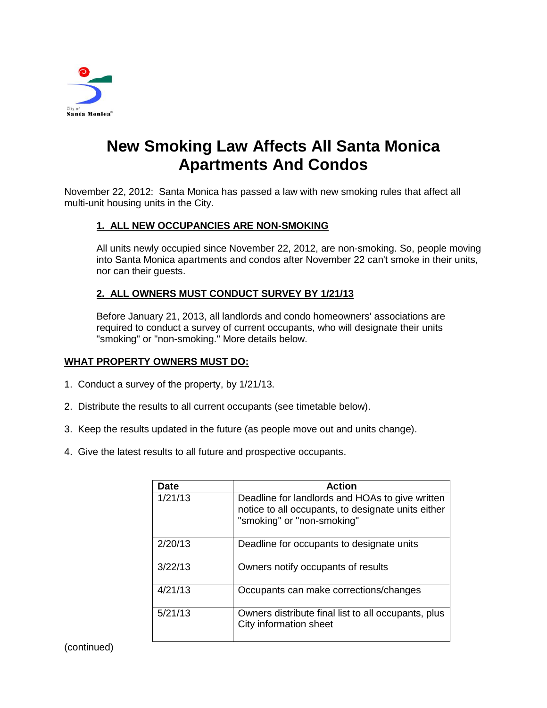

# **New Smoking Law Affects All Santa Monica Apartments And Condos**

November 22, 2012: Santa Monica has passed a law with new smoking rules that affect all multi-unit housing units in the City.

## **1. ALL NEW OCCUPANCIES ARE NON-SMOKING**

All units newly occupied since November 22, 2012, are non-smoking. So, people moving into Santa Monica apartments and condos after November 22 can't smoke in their units, nor can their guests.

#### **2. ALL OWNERS MUST CONDUCT SURVEY BY 1/21/13**

Before January 21, 2013, all landlords and condo homeowners' associations are required to conduct a survey of current occupants, who will designate their units "smoking" or "non-smoking." More details below.

#### **WHAT PROPERTY OWNERS MUST DO:**

- 1. Conduct a survey of the property, by 1/21/13.
- 2. Distribute the results to all current occupants (see timetable below).
- 3. Keep the results updated in the future (as people move out and units change).
- 4. Give the latest results to all future and prospective occupants.

| <b>Date</b> | <b>Action</b>                                                                                                                       |
|-------------|-------------------------------------------------------------------------------------------------------------------------------------|
| 1/21/13     | Deadline for landlords and HOAs to give written<br>notice to all occupants, to designate units either<br>"smoking" or "non-smoking" |
| 2/20/13     | Deadline for occupants to designate units                                                                                           |
| 3/22/13     | Owners notify occupants of results                                                                                                  |
| 4/21/13     | Occupants can make corrections/changes                                                                                              |
| 5/21/13     | Owners distribute final list to all occupants, plus<br>City information sheet                                                       |

(continued)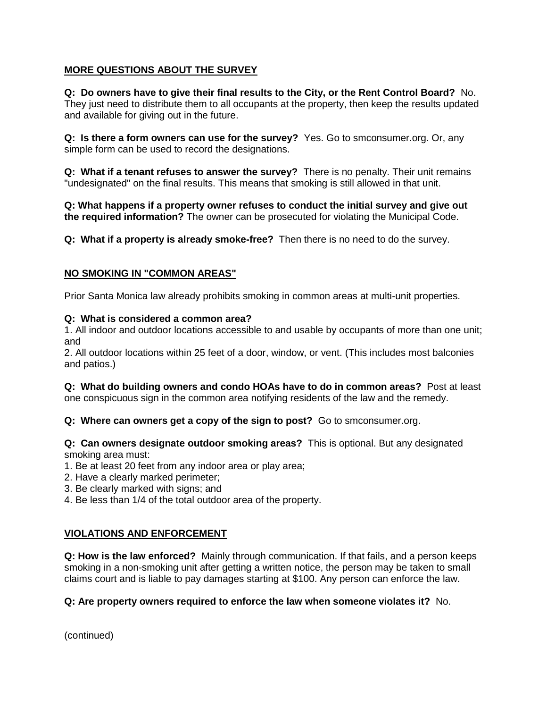# **MORE QUESTIONS ABOUT THE SURVEY**

#### **Q: Do owners have to give their final results to the City, or the Rent Control Board?** No.

They just need to distribute them to all occupants at the property, then keep the results updated and available for giving out in the future.

**Q: Is there a form owners can use for the survey?** Yes. Go to smconsumer.org. Or, any simple form can be used to record the designations.

**Q: What if a tenant refuses to answer the survey?** There is no penalty. Their unit remains "undesignated" on the final results. This means that smoking is still allowed in that unit.

**Q: What happens if a property owner refuses to conduct the initial survey and give out the required information?** The owner can be prosecuted for violating the Municipal Code.

**Q: What if a property is already smoke-free?** Then there is no need to do the survey.

#### **NO SMOKING IN "COMMON AREAS"**

Prior Santa Monica law already prohibits smoking in common areas at multi-unit properties.

#### **Q: What is considered a common area?**

1. All indoor and outdoor locations accessible to and usable by occupants of more than one unit; and

2. All outdoor locations within 25 feet of a door, window, or vent. (This includes most balconies and patios.)

**Q: What do building owners and condo HOAs have to do in common areas?** Post at least one conspicuous sign in the common area notifying residents of the law and the remedy.

**Q: Where can owners get a copy of the sign to post?** Go to smconsumer.org.

**Q: Can owners designate outdoor smoking areas?** This is optional. But any designated smoking area must:

- 1. Be at least 20 feet from any indoor area or play area;
- 2. Have a clearly marked perimeter;
- 3. Be clearly marked with signs; and
- 4. Be less than 1/4 of the total outdoor area of the property.

#### **VIOLATIONS AND ENFORCEMENT**

**Q: How is the law enforced?** Mainly through communication. If that fails, and a person keeps smoking in a non-smoking unit after getting a written notice, the person may be taken to small claims court and is liable to pay damages starting at \$100. Any person can enforce the law.

#### **Q: Are property owners required to enforce the law when someone violates it?** No.

(continued)